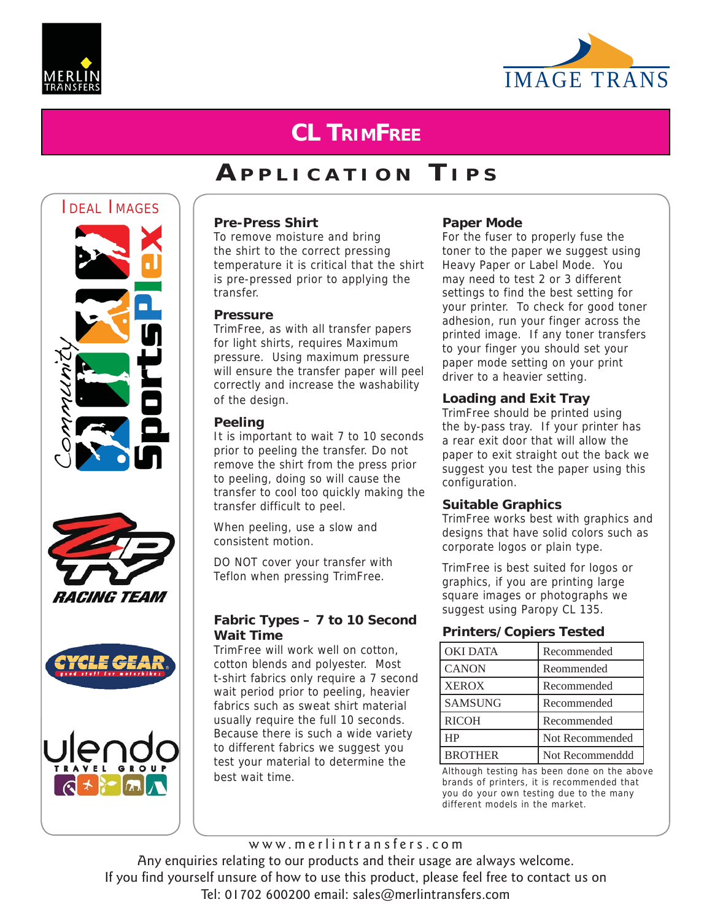



# **CL TRIMFREE**

# **A PPLICATION T IPS**









#### **Pre-Press Shirt**

To remove moisture and bring the shirt to the correct pressing temperature it is critical that the shirt is pre-pressed prior to applying the transfer.

#### **Pressure**

TrimFree, as with all transfer papers for light shirts, requires Maximum pressure. Using maximum pressure will ensure the transfer paper will peel correctly and increase the washability of the design.

#### **Peeling**

It is important to wait 7 to 10 seconds prior to peeling the transfer. Do not remove the shirt from the press prior to peeling, doing so will cause the transfer to cool too quickly making the transfer difficult to peel.

When peeling, use a slow and consistent motion.

DO NOT cover your transfer with Teflon when pressing TrimFree.

#### **Fabric Types – 7 to 10 Second Wait Time**

TrimFree will work well on cotton, cotton blends and polyester. Most t-shirt fabrics only require a 7 second wait period prior to peeling, heavier fabrics such as sweat shirt material usually require the full 10 seconds. Because there is such a wide variety to different fabrics we suggest you test your material to determine the best wait time.

#### **Paper Mode**

For the fuser to properly fuse the toner to the paper we suggest using Heavy Paper or Label Mode. You may need to test 2 or 3 different settings to find the best setting for your printer. To check for good toner adhesion, run your finger across the printed image. If any toner transfers to your finger you should set your paper mode setting on your print driver to a heavier setting.

#### **Loading and Exit Tray**

TrimFree should be printed using the by-pass tray. If your printer has a rear exit door that will allow the paper to exit straight out the back we suggest you test the paper using this configuration.

#### **Suitable Graphics**

TrimFree works best with graphics and designs that have solid colors such as corporate logos or plain type.

TrimFree is best suited for logos or graphics, if you are printing large square images or photographs we suggest using Paropy CL 135.

#### **Printers/Copiers Tested**

| OKI DATA       | Recommended     |
|----------------|-----------------|
| <b>CANON</b>   | Reommended      |
| <b>XEROX</b>   | Recommended     |
| <b>SAMSUNG</b> | Recommended     |
| <b>RICOH</b>   | Recommended     |
| HP             | Not Recommended |
| <b>BROTHER</b> | Not Recommenddd |

Although testing has been done on the above brands of printers, it is recommended that you do your own testing due to the many different models in the market.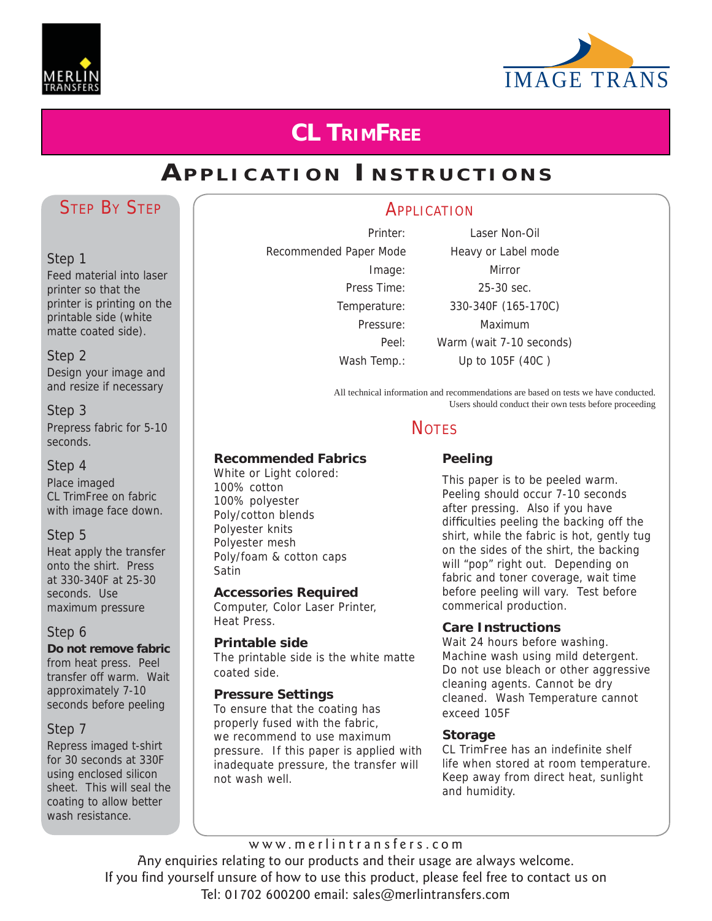



# **CL TRIMFREE**

# **APPLICATION I NSTRUCTIONS**

## STEP BY STEP

#### Step 1

Feed material into laser printer so that the printer is printing on the printable side (white matte coated side).

#### Step 2

Design your image and and resize if necessary

#### Step 3

Prepress fabric for 5-10 seconds.

#### Step 4

Place imaged CL TrimFree on fabric with image face down.

#### Step 5

Heat apply the transfer onto the shirt. Press at 330-340F at 25-30 seconds. Use maximum pressure

#### Step 6

**Do not remove fabric**  from heat press. Peel transfer off warm. Wait approximately 7-10 seconds before peeling

#### Step 7

Repress imaged t-shirt for 30 seconds at 330F using enclosed silicon sheet. This will seal the coating to allow better wash resistance.

Recommended Paper Mode Heavy or Label mode

## **APPLICATION**

Printer: Laser Non-Oil Image: Mirror Press Time: 25-30 sec. Temperature: 330-340F (165-170C) Pressure: Maximum Peel: Warm (wait 7-10 seconds) Wash Temp.: Up to 105F (40C)

All technical information and recommendations are based on tests we have conducted. Users should conduct their own tests before proceeding

## **NOTES**

#### **Recommended Fabrics**

White or Light colored: 100% cotton 100% polyester Poly/cotton blends Polyester knits Polyester mesh Poly/foam & cotton caps Satin

#### **Accessories Required**

Computer, Color Laser Printer, Heat Press.

#### **Printable side**

The printable side is the white matte coated side.

#### **Pressure Settings**

To ensure that the coating has properly fused with the fabric, we recommend to use maximum pressure. If this paper is applied with inadequate pressure, the transfer will not wash well.

## **Peeling**

This paper is to be peeled warm. Peeling should occur 7-10 seconds after pressing. Also if you have difficulties peeling the backing off the shirt, while the fabric is hot, gently tug on the sides of the shirt, the backing will "pop" right out. Depending on fabric and toner coverage, wait time before peeling will vary. Test before commerical production.

#### **Care Instructions**

Wait 24 hours before washing. Machine wash using mild detergent. Do not use bleach or other aggressive cleaning agents. Cannot be dry cleaned. Wash Temperature cannot exceed 105F

#### **Storage**

CL TrimFree has an indefinite shelf life when stored at room temperature. Keep away from direct heat, sunlight and humidity.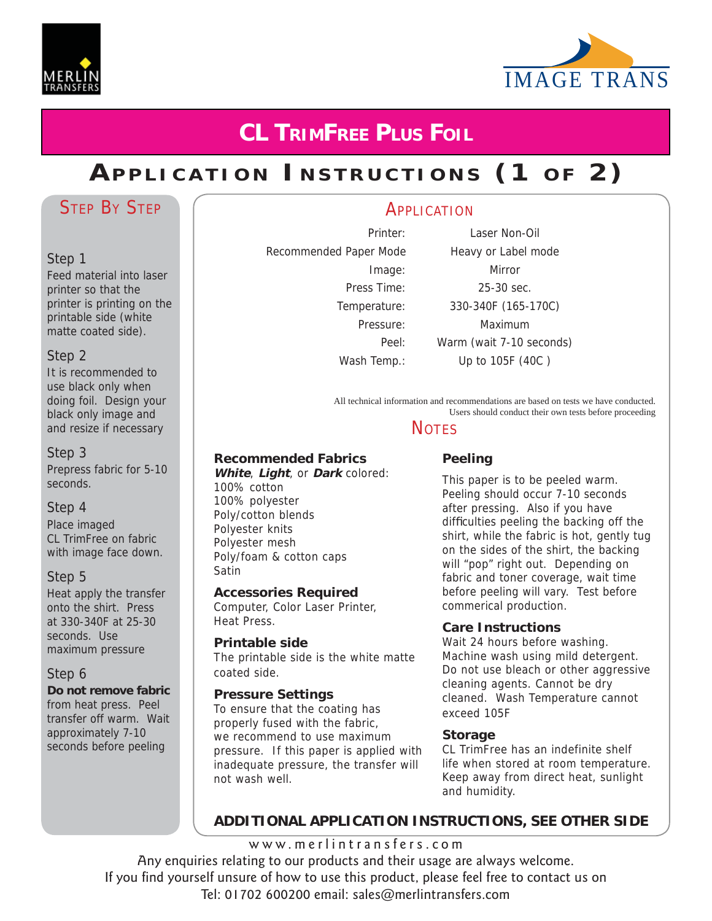



# **CL TRIMFREE PLUS FOIL**

# **APPLICATION INSTRUCTIONS (1 OF 2)**

## STEP BY STEP

#### Step 1

Feed material into laser printer so that the printer is printing on the printable side (white matte coated side).

#### Step 2

It is recommended to use black only when doing foil. Design your black only image and and resize if necessary

#### Step 3

Prepress fabric for 5-10 seconds.

#### Step 4

Place imaged CL TrimFree on fabric with image face down.

#### Step 5

Heat apply the transfer onto the shirt. Press at 330-340F at 25-30 seconds. Use maximum pressure

#### Step 6

**Do not remove fabric**  from heat press. Peel transfer off warm. Wait approximately 7-10 seconds before peeling

# Recommended Paper Mode Heavy or Label mode

Printer: Laser Non-Oil Image: Mirror Press Time: 25-30 sec. Temperature: 330-340F (165-170C) Pressure: Maximum Peel: Warm (wait 7-10 seconds) Wash Temp.: Up to 105F (40C)

All technical information and recommendations are based on tests we have conducted. Users should conduct their own tests before proceeding

## **NOTES**

**APPLICATION** 

#### **Recommended Fabrics**

**White**, **Light**, or **Dark** colored: 100% cotton 100% polyester Poly/cotton blends Polyester knits Polyester mesh Poly/foam & cotton caps Satin

#### **Accessories Required**

Computer, Color Laser Printer, Heat Press.

#### **Printable side**

The printable side is the white matte coated side.

#### **Pressure Settings**

To ensure that the coating has properly fused with the fabric, we recommend to use maximum pressure. If this paper is applied with inadequate pressure, the transfer will not wash well.

#### **Peeling**

This paper is to be peeled warm. Peeling should occur 7-10 seconds after pressing. Also if you have difficulties peeling the backing off the shirt, while the fabric is hot, gently tug on the sides of the shirt, the backing will "pop" right out. Depending on fabric and toner coverage, wait time before peeling will vary. Test before commerical production.

#### **Care Instructions**

Wait 24 hours before washing. Machine wash using mild detergent. Do not use bleach or other aggressive cleaning agents. Cannot be dry cleaned. Wash Temperature cannot exceed 105F

#### **Storage**

CL TrimFree has an indefinite shelf life when stored at room temperature. Keep away from direct heat, sunlight and humidity.

#### **ADDITIONAL APPLICATION INSTRUCTIONS, SEE OTHER SIDE**